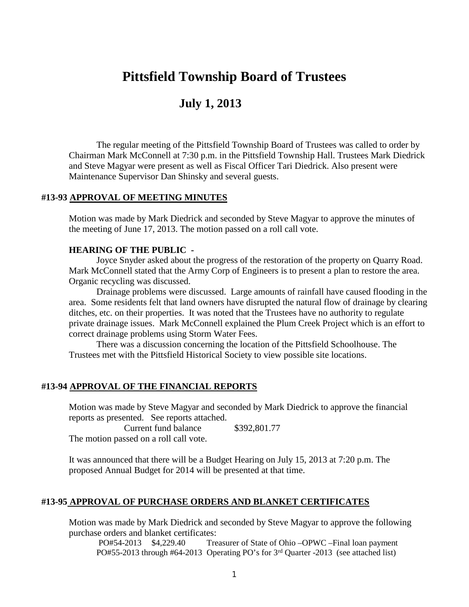# **Pittsfield Township Board of Trustees**

# **July 1, 2013**

The regular meeting of the Pittsfield Township Board of Trustees was called to order by Chairman Mark McConnell at 7:30 p.m. in the Pittsfield Township Hall. Trustees Mark Diedrick and Steve Magyar were present as well as Fiscal Officer Tari Diedrick. Also present were Maintenance Supervisor Dan Shinsky and several guests.

#### **#13-93 APPROVAL OF MEETING MINUTES**

Motion was made by Mark Diedrick and seconded by Steve Magyar to approve the minutes of the meeting of June 17, 2013. The motion passed on a roll call vote.

#### **HEARING OF THE PUBLIC -**

Joyce Snyder asked about the progress of the restoration of the property on Quarry Road. Mark McConnell stated that the Army Corp of Engineers is to present a plan to restore the area. Organic recycling was discussed.

Drainage problems were discussed. Large amounts of rainfall have caused flooding in the area. Some residents felt that land owners have disrupted the natural flow of drainage by clearing ditches, etc. on their properties. It was noted that the Trustees have no authority to regulate private drainage issues. Mark McConnell explained the Plum Creek Project which is an effort to correct drainage problems using Storm Water Fees.

There was a discussion concerning the location of the Pittsfield Schoolhouse. The Trustees met with the Pittsfield Historical Society to view possible site locations.

#### **#13-94 APPROVAL OF THE FINANCIAL REPORTS**

Motion was made by Steve Magyar and seconded by Mark Diedrick to approve the financial reports as presented. See reports attached.

Current fund balance \$392,801.77

The motion passed on a roll call vote.

It was announced that there will be a Budget Hearing on July 15, 2013 at 7:20 p.m. The proposed Annual Budget for 2014 will be presented at that time.

## **#13-95 APPROVAL OF PURCHASE ORDERS AND BLANKET CERTIFICATES**

Motion was made by Mark Diedrick and seconded by Steve Magyar to approve the following purchase orders and blanket certificates:

PO#54-2013 \$4,229.40 Treasurer of State of Ohio –OPWC –Final loan payment PO#55-2013 through #64-2013 Operating PO's for 3rd Quarter -2013 (see attached list)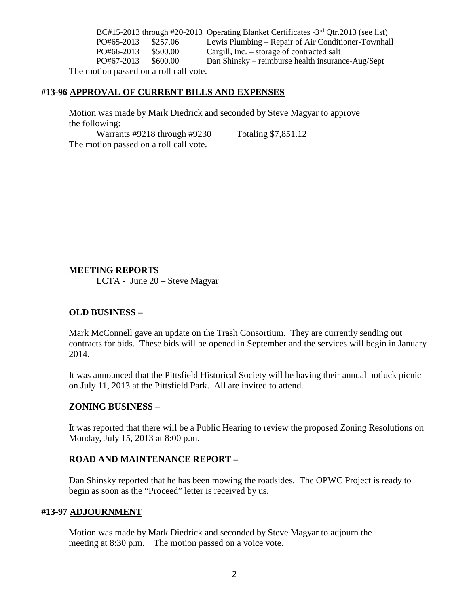BC#15-2013 through #20-2013 Operating Blanket Certificates -3rd Qtr.2013 (see list) PO#65-2013 \$257.06 Lewis Plumbing – Repair of Air Conditioner-Townhall PO#66-2013 \$500.00 Cargill, Inc. – storage of contracted salt PO#67-2013 \$600.00 Dan Shinsky – reimburse health insurance-Aug/Sept

The motion passed on a roll call vote.

#### **#13-96 APPROVAL OF CURRENT BILLS AND EXPENSES**

Motion was made by Mark Diedrick and seconded by Steve Magyar to approve the following:

Warrants #9218 through #9230 Totaling \$7,851.12 The motion passed on a roll call vote.

### **MEETING REPORTS**

LCTA - June 20 – Steve Magyar

### **OLD BUSINESS –**

Mark McConnell gave an update on the Trash Consortium. They are currently sending out contracts for bids. These bids will be opened in September and the services will begin in January 2014.

It was announced that the Pittsfield Historical Society will be having their annual potluck picnic on July 11, 2013 at the Pittsfield Park. All are invited to attend.

### **ZONING BUSINESS** –

It was reported that there will be a Public Hearing to review the proposed Zoning Resolutions on Monday, July 15, 2013 at 8:00 p.m.

### **ROAD AND MAINTENANCE REPORT –**

Dan Shinsky reported that he has been mowing the roadsides. The OPWC Project is ready to begin as soon as the "Proceed" letter is received by us.

### **#13-97 ADJOURNMENT**

Motion was made by Mark Diedrick and seconded by Steve Magyar to adjourn the meeting at 8:30 p.m. The motion passed on a voice vote.